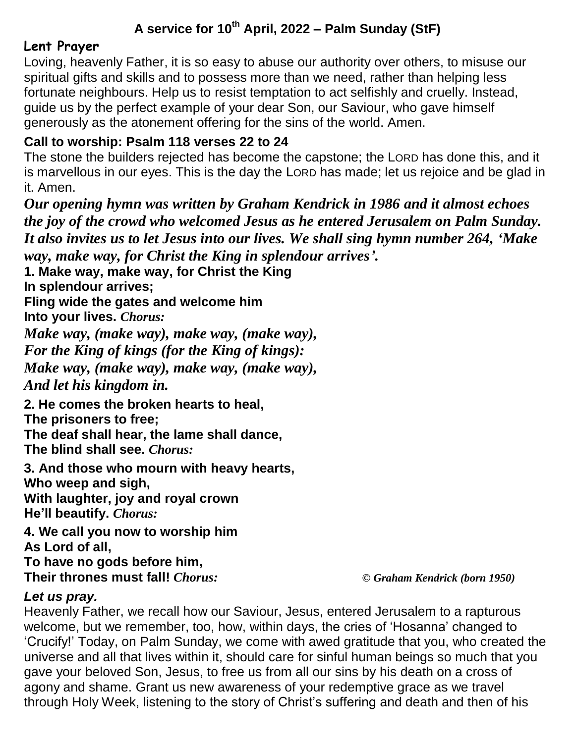# **A service for 10 th April, 2022 – Palm Sunday (StF)**

# **Lent Prayer**

Loving, heavenly Father, it is so easy to abuse our authority over others, to misuse our spiritual gifts and skills and to possess more than we need, rather than helping less fortunate neighbours. Help us to resist temptation to act selfishly and cruelly. Instead, guide us by the perfect example of your dear Son, our Saviour, who gave himself generously as the atonement offering for the sins of the world. Amen.

### **Call to worship: Psalm 118 verses 22 to 24**

The stone the builders rejected has become the capstone; the LORD has done this, and it is marvellous in our eyes. This is the day the LORD has made; let us rejoice and be glad in it. Amen.

*Our opening hymn was written by Graham Kendrick in 1986 and it almost echoes the joy of the crowd who welcomed Jesus as he entered Jerusalem on Palm Sunday. It also invites us to let Jesus into our lives. We shall sing hymn number 264, 'Make way, make way, for Christ the King in splendour arrives'.*

**1. Make way, make way, for Christ the King In splendour arrives;**

**Fling wide the gates and welcome him**

**Into your lives.** *Chorus:*

*Make way, (make way), make way, (make way),*

*For the King of kings (for the King of kings):*

*Make way, (make way), make way, (make way),*

*And let his kingdom in.*

**2. He comes the broken hearts to heal,**

**The prisoners to free;**

**The deaf shall hear, the lame shall dance,**

**The blind shall see.** *Chorus:*

**3. And those who mourn with heavy hearts, Who weep and sigh, With laughter, joy and royal crown He'll beautify.** *Chorus:*

**4. We call you now to worship him As Lord of all, To have no gods before him, Their thrones must fall!** *Chorus: © Graham Kendrick (born 1950)*

#### *Let us pray.*

Heavenly Father, we recall how our Saviour, Jesus, entered Jerusalem to a rapturous welcome, but we remember, too, how, within days, the cries of 'Hosanna' changed to 'Crucify!' Today, on Palm Sunday, we come with awed gratitude that you, who created the universe and all that lives within it, should care for sinful human beings so much that you gave your beloved Son, Jesus, to free us from all our sins by his death on a cross of agony and shame. Grant us new awareness of your redemptive grace as we travel through Holy Week, listening to the story of Christ's suffering and death and then of his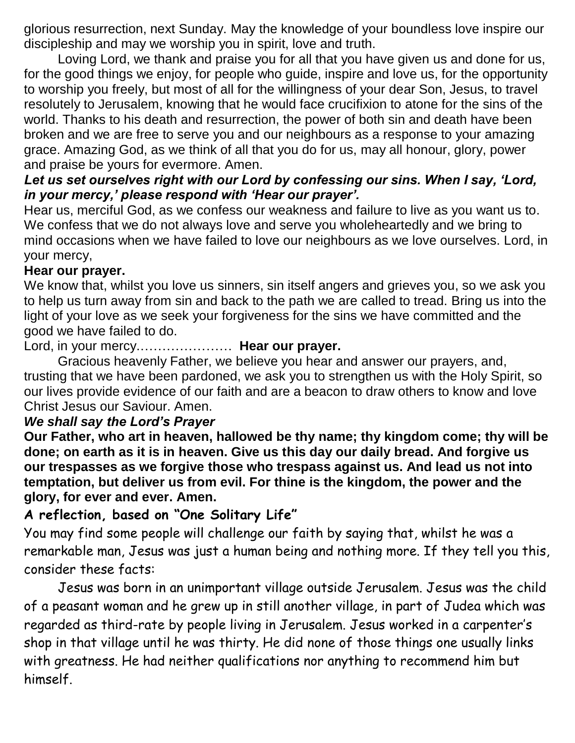glorious resurrection, next Sunday. May the knowledge of your boundless love inspire our discipleship and may we worship you in spirit, love and truth.

Loving Lord, we thank and praise you for all that you have given us and done for us, for the good things we enjoy, for people who guide, inspire and love us, for the opportunity to worship you freely, but most of all for the willingness of your dear Son, Jesus, to travel resolutely to Jerusalem, knowing that he would face crucifixion to atone for the sins of the world. Thanks to his death and resurrection, the power of both sin and death have been broken and we are free to serve you and our neighbours as a response to your amazing grace. Amazing God, as we think of all that you do for us, may all honour, glory, power and praise be yours for evermore. Amen.

### *Let us set ourselves right with our Lord by confessing our sins. When I say, 'Lord, in your mercy,' please respond with 'Hear our prayer'.*

Hear us, merciful God, as we confess our weakness and failure to live as you want us to. We confess that we do not always love and serve you wholeheartedly and we bring to mind occasions when we have failed to love our neighbours as we love ourselves. Lord, in your mercy,

### **Hear our prayer.**

We know that, whilst you love us sinners, sin itself angers and grieves you, so we ask you to help us turn away from sin and back to the path we are called to tread. Bring us into the light of your love as we seek your forgiveness for the sins we have committed and the good we have failed to do.

Lord, in your mercy.………………… **Hear our prayer.**

Gracious heavenly Father, we believe you hear and answer our prayers, and, trusting that we have been pardoned, we ask you to strengthen us with the Holy Spirit, so our lives provide evidence of our faith and are a beacon to draw others to know and love Christ Jesus our Saviour. Amen.

#### *We shall say the Lord's Prayer*

**Our Father, who art in heaven, hallowed be thy name; thy kingdom come; thy will be done; on earth as it is in heaven. Give us this day our daily bread. And forgive us our trespasses as we forgive those who trespass against us. And lead us not into temptation, but deliver us from evil. For thine is the kingdom, the power and the glory, for ever and ever. Amen.**

# **A reflection, based on "One Solitary Life"**

You may find some people will challenge our faith by saying that, whilst he was a remarkable man, Jesus was just a human being and nothing more. If they tell you this, consider these facts:

Jesus was born in an unimportant village outside Jerusalem. Jesus was the child of a peasant woman and he grew up in still another village, in part of Judea which was regarded as third-rate by people living in Jerusalem. Jesus worked in a carpenter's shop in that village until he was thirty. He did none of those things one usually links with greatness. He had neither qualifications nor anything to recommend him but himself.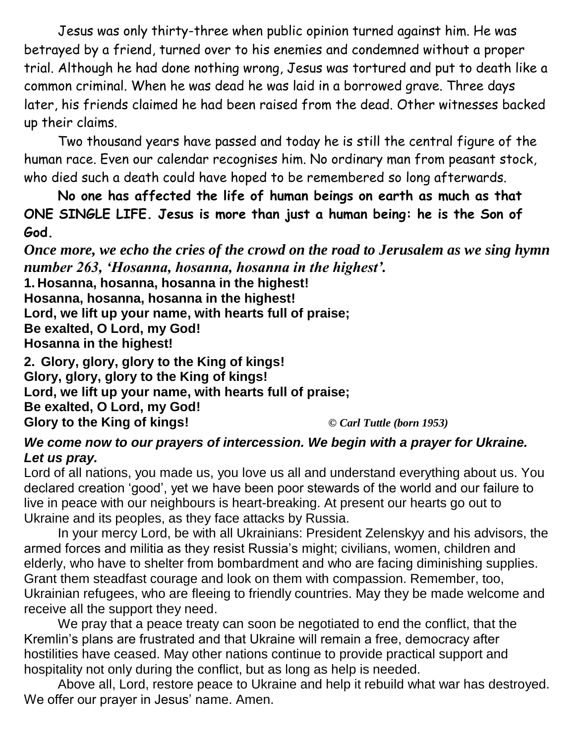Jesus was only thirty-three when public opinion turned against him. He was betrayed by a friend, turned over to his enemies and condemned without a proper trial. Although he had done nothing wrong, Jesus was tortured and put to death like a common criminal. When he was dead he was laid in a borrowed grave. Three days later, his friends claimed he had been raised from the dead. Other witnesses backed up their claims.

Two thousand years have passed and today he is still the central figure of the human race. Even our calendar recognises him. No ordinary man from peasant stock, who died such a death could have hoped to be remembered so long afterwards.

**No one has affected the life of human beings on earth as much as that ONE SINGLE LIFE. Jesus is more than just a human being: he is the Son of God.**

*Once more, we echo the cries of the crowd on the road to Jerusalem as we sing hymn number 263, 'Hosanna, hosanna, hosanna in the highest'.*

**1. Hosanna, hosanna, hosanna in the highest! Hosanna, hosanna, hosanna in the highest! Lord, we lift up your name, with hearts full of praise; Be exalted, O Lord, my God! Hosanna in the highest!**

**2. Glory, glory, glory to the King of kings! Glory, glory, glory to the King of kings! Lord, we lift up your name, with hearts full of praise; Be exalted, O Lord, my God! Glory to the King of kings!** *© Carl Tuttle (born 1953)*

*We come now to our prayers of intercession. We begin with a prayer for Ukraine. Let us pray.*

Lord of all nations, you made us, you love us all and understand everything about us. You declared creation 'good', yet we have been poor stewards of the world and our failure to live in peace with our neighbours is heart-breaking. At present our hearts go out to Ukraine and its peoples, as they face attacks by Russia.

In your mercy Lord, be with all Ukrainians: President Zelenskyy and his advisors, the armed forces and militia as they resist Russia's might; civilians, women, children and elderly, who have to shelter from bombardment and who are facing diminishing supplies. Grant them steadfast courage and look on them with compassion. Remember, too, Ukrainian refugees, who are fleeing to friendly countries. May they be made welcome and receive all the support they need.

We pray that a peace treaty can soon be negotiated to end the conflict, that the Kremlin's plans are frustrated and that Ukraine will remain a free, democracy after hostilities have ceased. May other nations continue to provide practical support and hospitality not only during the conflict, but as long as help is needed.

Above all, Lord, restore peace to Ukraine and help it rebuild what war has destroyed. We offer our prayer in Jesus' name. Amen.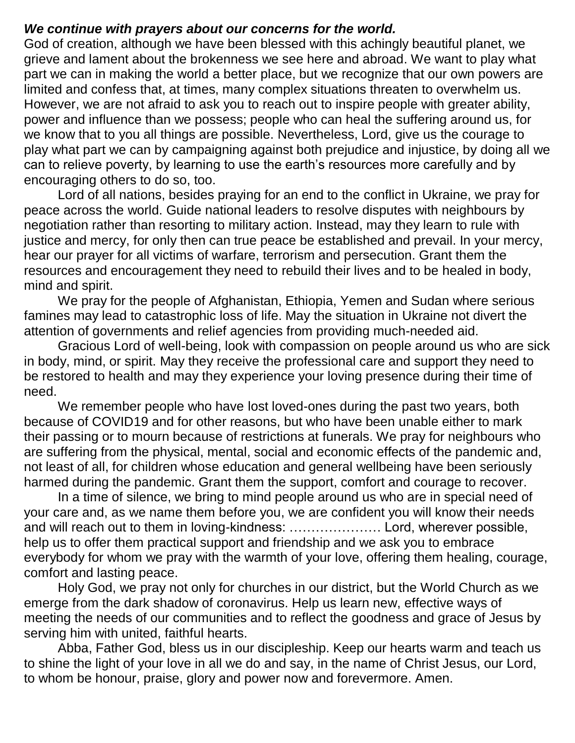#### *We continue with prayers about our concerns for the world.*

God of creation, although we have been blessed with this achingly beautiful planet, we grieve and lament about the brokenness we see here and abroad. We want to play what part we can in making the world a better place, but we recognize that our own powers are limited and confess that, at times, many complex situations threaten to overwhelm us. However, we are not afraid to ask you to reach out to inspire people with greater ability, power and influence than we possess; people who can heal the suffering around us, for we know that to you all things are possible. Nevertheless, Lord, give us the courage to play what part we can by campaigning against both prejudice and injustice, by doing all we can to relieve poverty, by learning to use the earth's resources more carefully and by encouraging others to do so, too.

Lord of all nations, besides praying for an end to the conflict in Ukraine, we pray for peace across the world. Guide national leaders to resolve disputes with neighbours by negotiation rather than resorting to military action. Instead, may they learn to rule with justice and mercy, for only then can true peace be established and prevail. In your mercy, hear our prayer for all victims of warfare, terrorism and persecution. Grant them the resources and encouragement they need to rebuild their lives and to be healed in body, mind and spirit.

We pray for the people of Afghanistan, Ethiopia, Yemen and Sudan where serious famines may lead to catastrophic loss of life. May the situation in Ukraine not divert the attention of governments and relief agencies from providing much-needed aid.

Gracious Lord of well-being, look with compassion on people around us who are sick in body, mind, or spirit. May they receive the professional care and support they need to be restored to health and may they experience your loving presence during their time of need.

We remember people who have lost loved-ones during the past two years, both because of COVID19 and for other reasons, but who have been unable either to mark their passing or to mourn because of restrictions at funerals. We pray for neighbours who are suffering from the physical, mental, social and economic effects of the pandemic and, not least of all, for children whose education and general wellbeing have been seriously harmed during the pandemic. Grant them the support, comfort and courage to recover.

In a time of silence, we bring to mind people around us who are in special need of your care and, as we name them before you, we are confident you will know their needs and will reach out to them in loving-kindness: ………………… Lord, wherever possible, help us to offer them practical support and friendship and we ask you to embrace everybody for whom we pray with the warmth of your love, offering them healing, courage, comfort and lasting peace.

Holy God, we pray not only for churches in our district, but the World Church as we emerge from the dark shadow of coronavirus. Help us learn new, effective ways of meeting the needs of our communities and to reflect the goodness and grace of Jesus by serving him with united, faithful hearts.

Abba, Father God, bless us in our discipleship. Keep our hearts warm and teach us to shine the light of your love in all we do and say, in the name of Christ Jesus, our Lord, to whom be honour, praise, glory and power now and forevermore. Amen.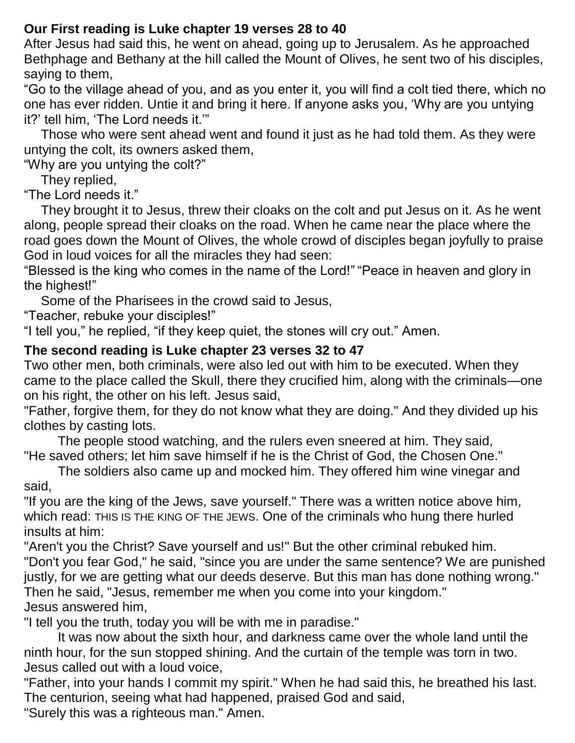# **Our First reading is Luke chapter 19 verses 28 to 40**

After Jesus had said this, he went on ahead, going up to Jerusalem. As he approached Bethphage and Bethany at the hill called the Mount of Olives, he sent two of his disciples, saying to them,

"Go to the village ahead of you, and as you enter it, you will find a colt tied there, which no one has ever ridden. Untie it and bring it here. If anyone asks you, 'Why are you untying it?' tell him, 'The Lord needs it.'"

Those who were sent ahead went and found it just as he had told them. As they were untying the colt, its owners asked them,

"Why are you untying the colt?"

They replied,

"The Lord needs it."

They brought it to Jesus, threw their cloaks on the colt and put Jesus on it. As he went along, people spread their cloaks on the road. When he came near the place where the road goes down the Mount of Olives, the whole crowd of disciples began joyfully to praise God in loud voices for all the miracles they had seen:

"Blessed is the king who comes in the name of the Lord!" "Peace in heaven and glory in the highest!"

Some of the Pharisees in the crowd said to Jesus,

"Teacher, rebuke your disciples!"

"I tell you," he replied, "if they keep quiet, the stones will cry out." Amen.

# **The second reading is Luke chapter 23 verses 32 to 47**

Two other men, both criminals, were also led out with him to be executed. When they came to the place called the Skull, there they crucified him, along with the criminals—one on his right, the other on his left. Jesus said,

"Father, forgive them, for they do not know what they are doing." And they divided up his clothes by casting lots.

The people stood watching, and the rulers even sneered at him. They said, "He saved others; let him save himself if he is the Christ of God, the Chosen One."

The soldiers also came up and mocked him. They offered him wine vinegar and said,

"If you are the king of the Jews, save yourself." There was a written notice above him, which read: THIS IS THE KING OF THE JEWS. One of the criminals who hung there hurled insults at him:

"Aren't you the Christ? Save yourself and us!" But the other criminal rebuked him. "Don't you fear God," he said, "since you are under the same sentence? We are punished justly, for we are getting what our deeds deserve. But this man has done nothing wrong." Then he said, "Jesus, remember me when you come into your kingdom." Jesus answered him,

"I tell you the truth, today you will be with me in paradise."

It was now about the sixth hour, and darkness came over the whole land until the ninth hour, for the sun stopped shining. And the curtain of the temple was torn in two. Jesus called out with a loud voice,

"Father, into your hands I commit my spirit." When he had said this, he breathed his last. The centurion, seeing what had happened, praised God and said,

"Surely this was a righteous man." Amen.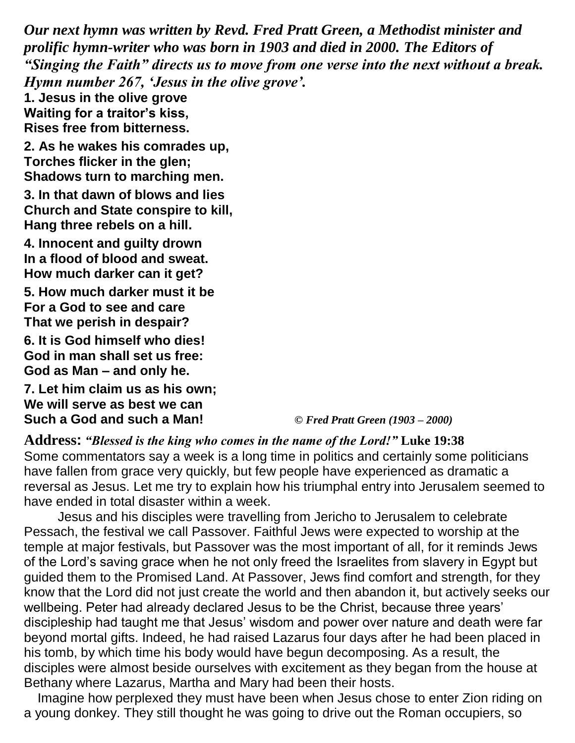*Our next hymn was written by Revd. Fred Pratt Green, a Methodist minister and prolific hymn-writer who was born in 1903 and died in 2000. The Editors of "Singing the Faith" directs us to move from one verse into the next without a break. Hymn number 267, 'Jesus in the olive grove'.* 

**1. Jesus in the olive grove Waiting for a traitor's kiss, Rises free from bitterness.**

**2. As he wakes his comrades up, Torches flicker in the glen; Shadows turn to marching men.**

**3. In that dawn of blows and lies Church and State conspire to kill, Hang three rebels on a hill.**

**4. Innocent and guilty drown In a flood of blood and sweat. How much darker can it get?**

**5. How much darker must it be For a God to see and care That we perish in despair?**

**6. It is God himself who dies! God in man shall set us free: God as Man – and only he.**

**7. Let him claim us as his own; We will serve as best we can Such a God and such a Man!** *© Fred Pratt Green (1903 – 2000)*

#### **Address:** *"Blessed is the king who comes in the name of the Lord!"* **Luke 19:38**

Some commentators say a week is a long time in politics and certainly some politicians have fallen from grace very quickly, but few people have experienced as dramatic a reversal as Jesus. Let me try to explain how his triumphal entry into Jerusalem seemed to have ended in total disaster within a week.

Jesus and his disciples were travelling from Jericho to Jerusalem to celebrate Pessach, the festival we call Passover. Faithful Jews were expected to worship at the temple at major festivals, but Passover was the most important of all, for it reminds Jews of the Lord's saving grace when he not only freed the Israelites from slavery in Egypt but guided them to the Promised Land. At Passover, Jews find comfort and strength, for they know that the Lord did not just create the world and then abandon it, but actively seeks our wellbeing. Peter had already declared Jesus to be the Christ, because three years' discipleship had taught me that Jesus' wisdom and power over nature and death were far beyond mortal gifts. Indeed, he had raised Lazarus four days after he had been placed in his tomb, by which time his body would have begun decomposing. As a result, the disciples were almost beside ourselves with excitement as they began from the house at Bethany where Lazarus, Martha and Mary had been their hosts.

Imagine how perplexed they must have been when Jesus chose to enter Zion riding on a young donkey. They still thought he was going to drive out the Roman occupiers, so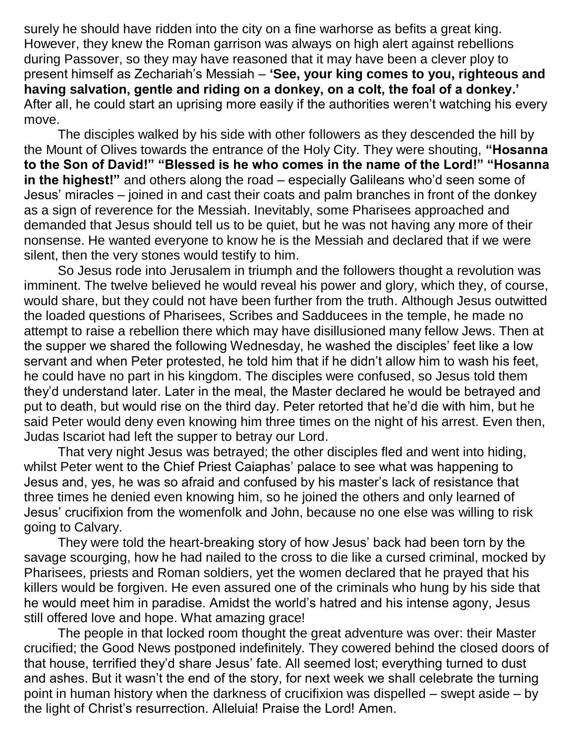surely he should have ridden into the city on a fine warhorse as befits a great king. However, they knew the Roman garrison was always on high alert against rebellions during Passover, so they may have reasoned that it may have been a clever ploy to present himself as Zechariah's Messiah – **'See, your king comes to you, righteous and having salvation, gentle and riding on a donkey, on a colt, the foal of a donkey.'**  After all, he could start an uprising more easily if the authorities weren't watching his every move.

The disciples walked by his side with other followers as they descended the hill by the Mount of Olives towards the entrance of the Holy City. They were shouting, **"Hosanna to the Son of David!" "Blessed is he who comes in the name of the Lord!" "Hosanna in the highest!"** and others along the road – especially Galileans who'd seen some of Jesus' miracles – joined in and cast their coats and palm branches in front of the donkey as a sign of reverence for the Messiah. Inevitably, some Pharisees approached and demanded that Jesus should tell us to be quiet, but he was not having any more of their nonsense. He wanted everyone to know he is the Messiah and declared that if we were silent, then the very stones would testify to him.

So Jesus rode into Jerusalem in triumph and the followers thought a revolution was imminent. The twelve believed he would reveal his power and glory, which they, of course, would share, but they could not have been further from the truth. Although Jesus outwitted the loaded questions of Pharisees, Scribes and Sadducees in the temple, he made no attempt to raise a rebellion there which may have disillusioned many fellow Jews. Then at the supper we shared the following Wednesday, he washed the disciples' feet like a low servant and when Peter protested, he told him that if he didn't allow him to wash his feet, he could have no part in his kingdom. The disciples were confused, so Jesus told them they'd understand later. Later in the meal, the Master declared he would be betrayed and put to death, but would rise on the third day. Peter retorted that he'd die with him, but he said Peter would deny even knowing him three times on the night of his arrest. Even then, Judas Iscariot had left the supper to betray our Lord.

That very night Jesus was betrayed; the other disciples fled and went into hiding, whilst Peter went to the Chief Priest Caiaphas' palace to see what was happening to Jesus and, yes, he was so afraid and confused by his master's lack of resistance that three times he denied even knowing him, so he joined the others and only learned of Jesus' crucifixion from the womenfolk and John, because no one else was willing to risk going to Calvary.

They were told the heart-breaking story of how Jesus' back had been torn by the savage scourging, how he had nailed to the cross to die like a cursed criminal, mocked by Pharisees, priests and Roman soldiers, yet the women declared that he prayed that his killers would be forgiven. He even assured one of the criminals who hung by his side that he would meet him in paradise. Amidst the world's hatred and his intense agony, Jesus still offered love and hope. What amazing grace!

The people in that locked room thought the great adventure was over: their Master crucified; the Good News postponed indefinitely. They cowered behind the closed doors of that house, terrified they'd share Jesus' fate. All seemed lost; everything turned to dust and ashes. But it wasn't the end of the story, for next week we shall celebrate the turning point in human history when the darkness of crucifixion was dispelled – swept aside – by the light of Christ's resurrection. Alleluia! Praise the Lord! Amen.